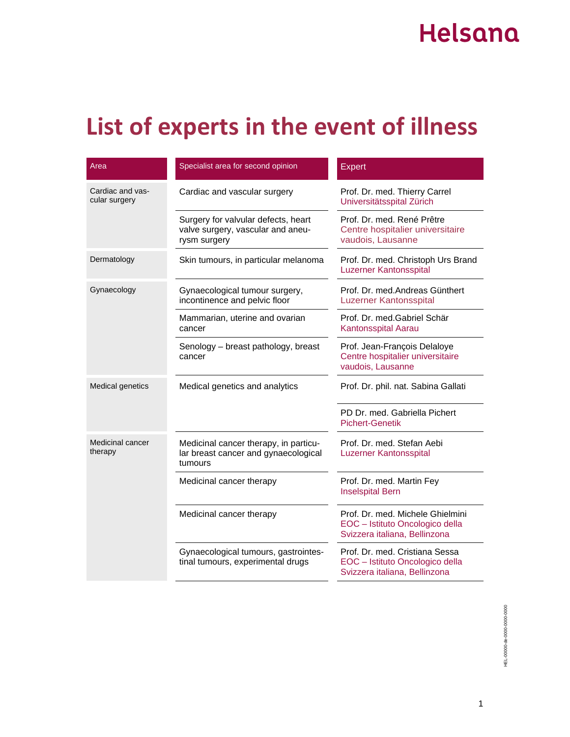## Helsana

## **List of experts in the event of illness**

| Area                              | Specialist area for second opinion                                                       | <b>Expert</b>                                                                                        |
|-----------------------------------|------------------------------------------------------------------------------------------|------------------------------------------------------------------------------------------------------|
| Cardiac and vas-<br>cular surgery | Cardiac and vascular surgery                                                             | Prof. Dr. med. Thierry Carrel<br>Universitätsspital Zürich                                           |
|                                   | Surgery for valvular defects, heart<br>valve surgery, vascular and aneu-<br>rysm surgery | Prof. Dr. med. René Prêtre<br>Centre hospitalier universitaire<br>vaudois, Lausanne                  |
| Dermatology                       | Skin tumours, in particular melanoma                                                     | Prof. Dr. med. Christoph Urs Brand<br><b>Luzerner Kantonsspital</b>                                  |
| Gynaecology                       | Gynaecological tumour surgery,<br>incontinence and pelvic floor                          | Prof. Dr. med.Andreas Günthert<br>Luzerner Kantonsspital                                             |
|                                   | Mammarian, uterine and ovarian<br>cancer                                                 | Prof. Dr. med. Gabriel Schär<br>Kantonsspital Aarau                                                  |
|                                   | Senology - breast pathology, breast<br>cancer                                            | Prof. Jean-François Delaloye<br>Centre hospitalier universitaire<br>vaudois, Lausanne                |
| <b>Medical genetics</b>           | Medical genetics and analytics                                                           | Prof. Dr. phil. nat. Sabina Gallati                                                                  |
|                                   |                                                                                          | PD Dr. med. Gabriella Pichert<br><b>Pichert-Genetik</b>                                              |
| Medicinal cancer<br>therapy       | Medicinal cancer therapy, in particu-<br>lar breast cancer and gynaecological<br>tumours | Prof. Dr. med. Stefan Aebi<br>Luzerner Kantonsspital                                                 |
|                                   | Medicinal cancer therapy                                                                 | Prof. Dr. med. Martin Fey<br><b>Inselspital Bern</b>                                                 |
|                                   | Medicinal cancer therapy                                                                 | Prof. Dr. med. Michele Ghielmini<br>EOC - Istituto Oncologico della<br>Svizzera italiana, Bellinzona |
|                                   | Gynaecological tumours, gastrointes-<br>tinal tumours, experimental drugs                | Prof. Dr. med. Cristiana Sessa<br>EOC - Istituto Oncologico della<br>Svizzera italiana, Bellinzona   |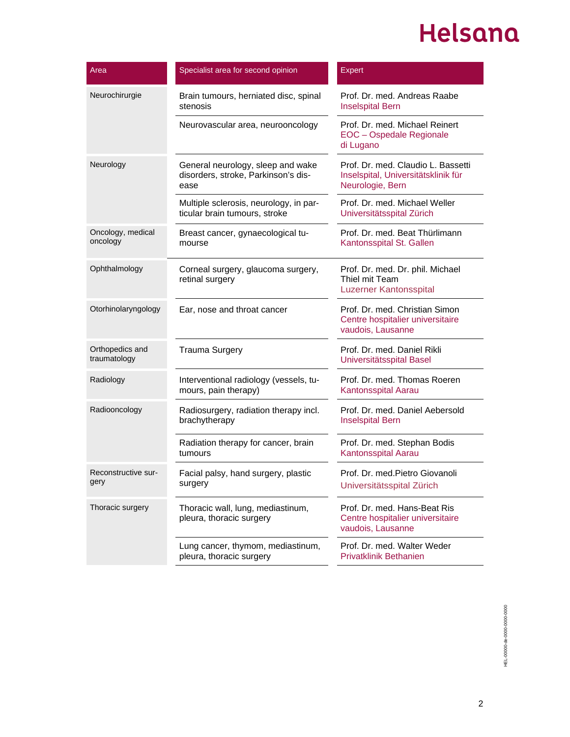## Helsana

| Area                            | Specialist area for second opinion                                               | <b>Expert</b>                                                                                 |
|---------------------------------|----------------------------------------------------------------------------------|-----------------------------------------------------------------------------------------------|
| Neurochirurgie                  | Brain tumours, herniated disc, spinal<br>stenosis                                | Prof. Dr. med. Andreas Raabe<br><b>Inselspital Bern</b>                                       |
|                                 | Neurovascular area, neurooncology                                                | Prof. Dr. med. Michael Reinert<br><b>EOC</b> - Ospedale Regionale<br>di Lugano                |
| Neurology                       | General neurology, sleep and wake<br>disorders, stroke, Parkinson's dis-<br>ease | Prof. Dr. med. Claudio L. Bassetti<br>Inselspital, Universitätsklinik für<br>Neurologie, Bern |
|                                 | Multiple sclerosis, neurology, in par-<br>ticular brain tumours, stroke          | Prof. Dr. med. Michael Weller<br>Universitätsspital Zürich                                    |
| Oncology, medical<br>oncology   | Breast cancer, gynaecological tu-<br>mourse                                      | Prof. Dr. med. Beat Thürlimann<br>Kantonsspital St. Gallen                                    |
| Ophthalmology                   | Corneal surgery, glaucoma surgery,<br>retinal surgery                            | Prof. Dr. med. Dr. phil. Michael<br>Thiel mit Team<br>Luzerner Kantonsspital                  |
| Otorhinolaryngology             | Ear, nose and throat cancer                                                      | Prof. Dr. med. Christian Simon<br>Centre hospitalier universitaire<br>vaudois, Lausanne       |
| Orthopedics and<br>traumatology | <b>Trauma Surgery</b>                                                            | Prof. Dr. med. Daniel Rikli<br>Universitätsspital Basel                                       |
| Radiology                       | Interventional radiology (vessels, tu-<br>mours, pain therapy)                   | Prof. Dr. med. Thomas Roeren<br>Kantonsspital Aarau                                           |
| Radiooncology                   | Radiosurgery, radiation therapy incl.<br>brachytherapy                           | Prof. Dr. med. Daniel Aebersold<br><b>Inselspital Bern</b>                                    |
|                                 | Radiation therapy for cancer, brain<br>tumours                                   | Prof. Dr. med. Stephan Bodis<br>Kantonsspital Aarau                                           |
| Reconstructive sur-<br>gery     | Facial palsy, hand surgery, plastic<br>surgery                                   | Prof. Dr. med. Pietro Giovanoli<br>Universitätsspital Zürich                                  |
| Thoracic surgery                | Thoracic wall, lung, mediastinum,<br>pleura, thoracic surgery                    | Prof. Dr. med. Hans-Beat Ris<br>Centre hospitalier universitaire<br>vaudois, Lausanne         |
|                                 | Lung cancer, thymom, mediastinum,<br>pleura, thoracic surgery                    | Prof. Dr. med. Walter Weder<br><b>Privatklinik Bethanien</b>                                  |